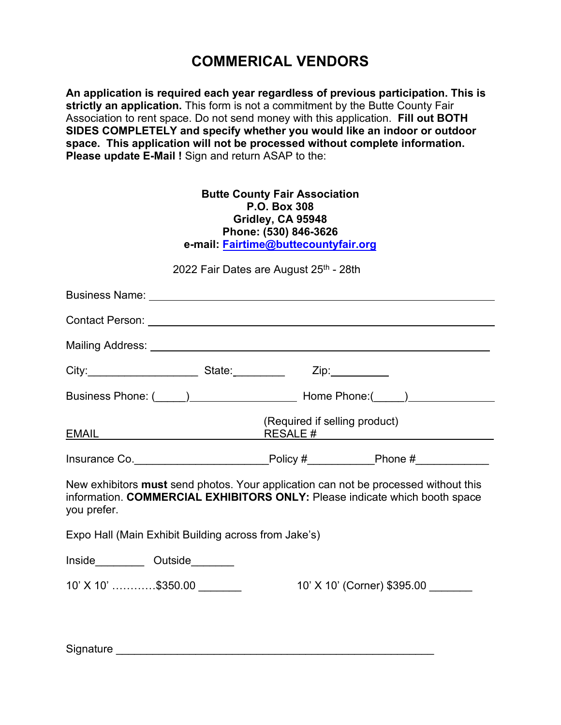## **COMMERICAL VENDORS**

**An application is required each year regardless of previous participation. This is strictly an application.** This form is not a commitment by the Butte County Fair Association to rent space. Do not send money with this application. **Fill out BOTH SIDES COMPLETELY and specify whether you would like an indoor or outdoor space. This application will not be processed without complete information. Please update E-Mail !** Sign and return ASAP to the:

| <b>Butte County Fair Association</b><br>P.O. Box 308<br>Gridley, CA 95948<br>Phone: (530) 846-3626<br>e-mail: Fairtime@buttecountyfair.org                                       |                                        |                             |  |
|----------------------------------------------------------------------------------------------------------------------------------------------------------------------------------|----------------------------------------|-----------------------------|--|
|                                                                                                                                                                                  | 2022 Fair Dates are August 25th - 28th |                             |  |
|                                                                                                                                                                                  |                                        |                             |  |
|                                                                                                                                                                                  |                                        |                             |  |
|                                                                                                                                                                                  |                                        |                             |  |
| City:____________________________State:___________________Zip:_____________                                                                                                      |                                        |                             |  |
|                                                                                                                                                                                  |                                        |                             |  |
| <b>EMAIL EMAIL</b>                                                                                                                                                               | (Required if selling product)          |                             |  |
| Insurance Co.__________________________Policy #___________Phone #______________                                                                                                  |                                        |                             |  |
| New exhibitors must send photos. Your application can not be processed without this<br>information. COMMERCIAL EXHIBITORS ONLY: Please indicate which booth space<br>you prefer. |                                        |                             |  |
| Expo Hall (Main Exhibit Building across from Jake's)                                                                                                                             |                                        |                             |  |
| Inside_____________ Outside_________                                                                                                                                             |                                        |                             |  |
| 10' X 10' \$350.00                                                                                                                                                               |                                        | 10' X 10' (Corner) \$395.00 |  |